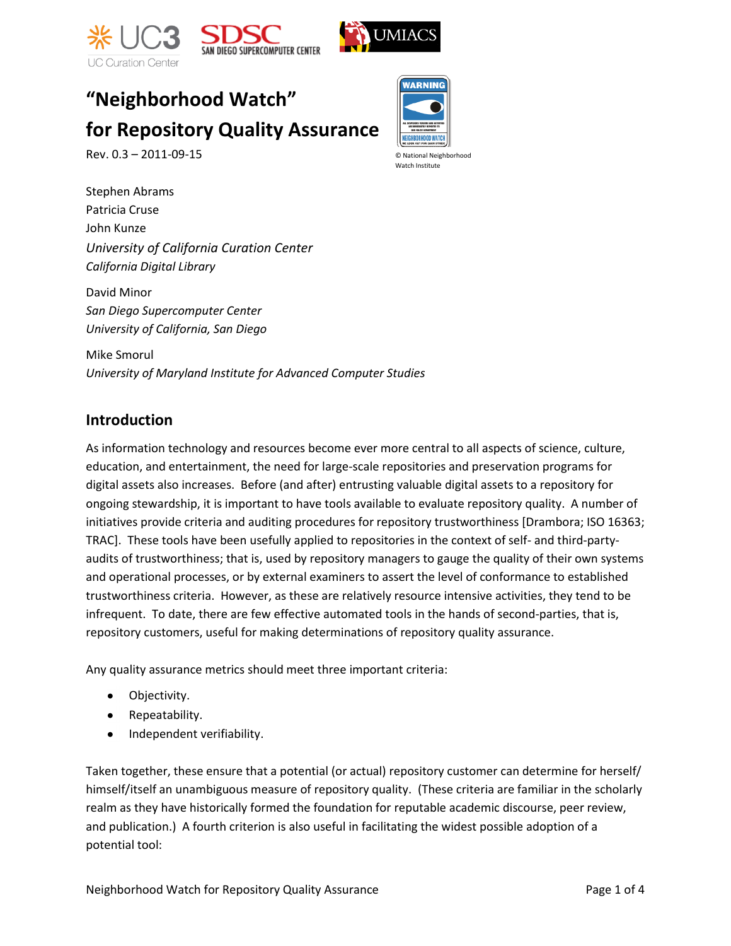



# **"Neighborhood Watch" for Repository Quality Assurance**

Rev. 0.3 – 2011-09-15

Stephen Abrams Patricia Cruse John Kunze *University of California Curation Center California Digital Library*

David Minor *San Diego Supercomputer Center University of California, San Diego*

Mike Smorul *University of Maryland Institute for Advanced Computer Studies*

#### **Introduction**

As information technology and resources become ever more central to all aspects of science, culture, education, and entertainment, the need for large-scale repositories and preservation programs for digital assets also increases. Before (and after) entrusting valuable digital assets to a repository for ongoing stewardship, it is important to have tools available to evaluate repository quality. A number of initiatives provide criteria and auditing procedures for repository trustworthiness [Drambora; ISO 16363; TRAC]. These tools have been usefully applied to repositories in the context of self- and third-partyaudits of trustworthiness; that is, used by repository managers to gauge the quality of their own systems and operational processes, or by external examiners to assert the level of conformance to established trustworthiness criteria. However, as these are relatively resource intensive activities, they tend to be infrequent. To date, there are few effective automated tools in the hands of second-parties, that is, repository customers, useful for making determinations of repository quality assurance.

Any quality assurance metrics should meet three important criteria:

- Objectivity.
- Repeatability.
- Independent verifiability.

Taken together, these ensure that a potential (or actual) repository customer can determine for herself/ himself/itself an unambiguous measure of repository quality. (These criteria are familiar in the scholarly realm as they have historically formed the foundation for reputable academic discourse, peer review, and publication.) A fourth criterion is also useful in facilitating the widest possible adoption of a potential tool:



© National Neighborhood Watch Institute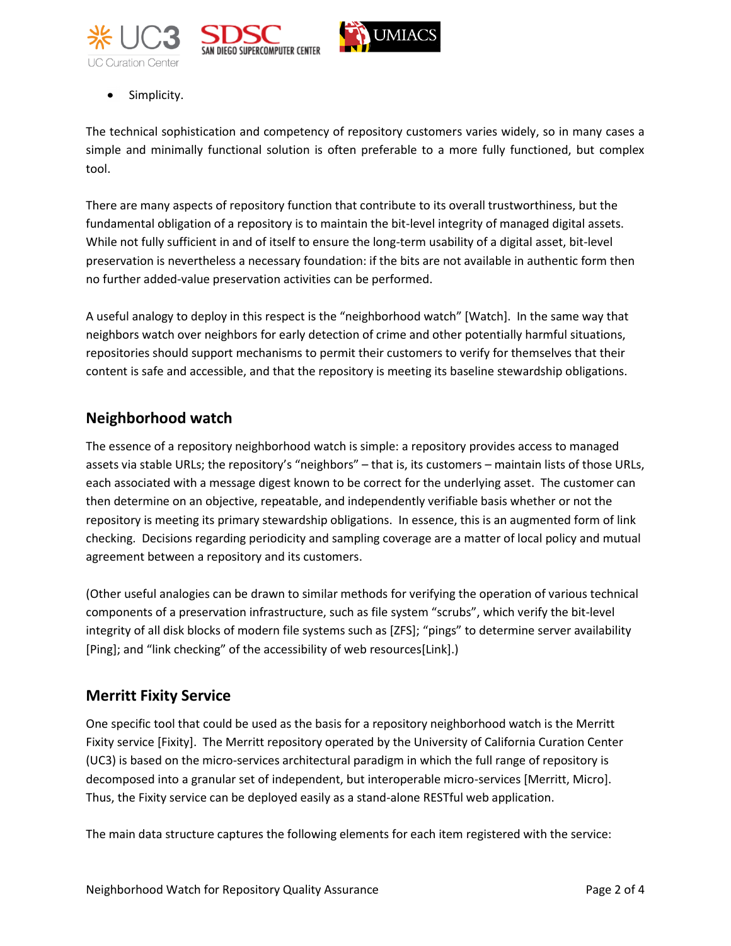





Simplicity.

The technical sophistication and competency of repository customers varies widely, so in many cases a simple and minimally functional solution is often preferable to a more fully functioned, but complex tool.

There are many aspects of repository function that contribute to its overall trustworthiness, but the fundamental obligation of a repository is to maintain the bit-level integrity of managed digital assets. While not fully sufficient in and of itself to ensure the long-term usability of a digital asset, bit-level preservation is nevertheless a necessary foundation: if the bits are not available in authentic form then no further added-value preservation activities can be performed.

A useful analogy to deploy in this respect is the "neighborhood watch" [Watch]. In the same way that neighbors watch over neighbors for early detection of crime and other potentially harmful situations, repositories should support mechanisms to permit their customers to verify for themselves that their content is safe and accessible, and that the repository is meeting its baseline stewardship obligations.

# **Neighborhood watch**

The essence of a repository neighborhood watch is simple: a repository provides access to managed assets via stable URLs; the repository's "neighbors" – that is, its customers – maintain lists of those URLs, each associated with a message digest known to be correct for the underlying asset. The customer can then determine on an objective, repeatable, and independently verifiable basis whether or not the repository is meeting its primary stewardship obligations. In essence, this is an augmented form of link checking. Decisions regarding periodicity and sampling coverage are a matter of local policy and mutual agreement between a repository and its customers.

(Other useful analogies can be drawn to similar methods for verifying the operation of various technical components of a preservation infrastructure, such as file system "scrubs", which verify the bit-level integrity of all disk blocks of modern file systems such as [ZFS]; "pings" to determine server availability [Ping]; and "link checking" of the accessibility of web resources[Link].)

# **Merritt Fixity Service**

One specific tool that could be used as the basis for a repository neighborhood watch is the Merritt Fixity service [Fixity]. The Merritt repository operated by the University of California Curation Center (UC3) is based on the micro-services architectural paradigm in which the full range of repository is decomposed into a granular set of independent, but interoperable micro-services [Merritt, Micro]. Thus, the Fixity service can be deployed easily as a stand-alone RESTful web application.

The main data structure captures the following elements for each item registered with the service: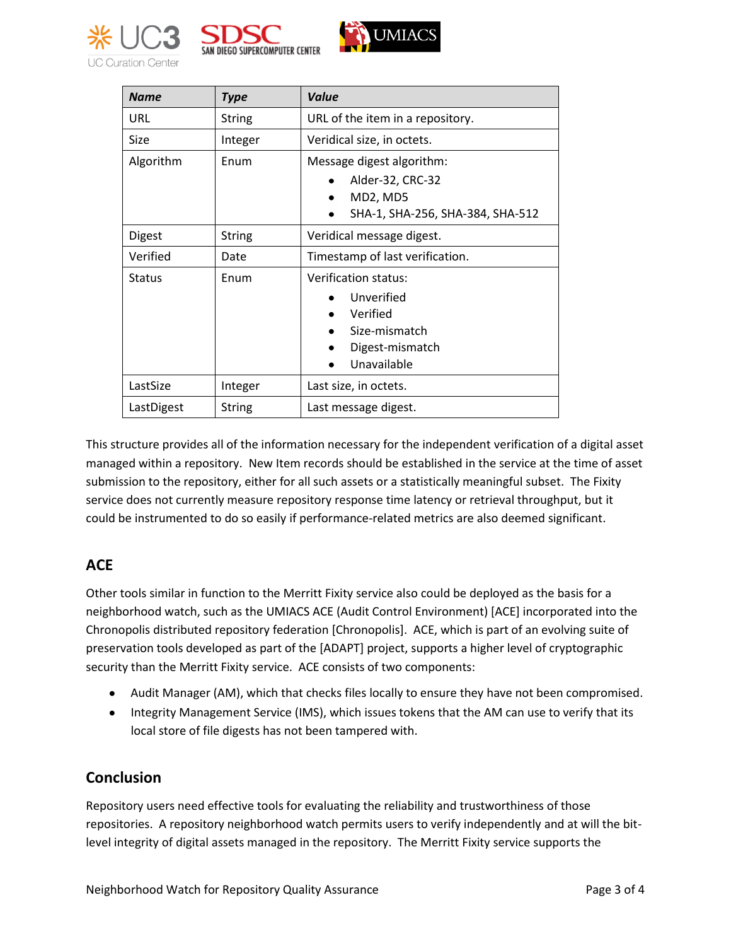





| <b>Name</b>   | <b>Type</b>   | Value                                                                                                      |
|---------------|---------------|------------------------------------------------------------------------------------------------------------|
| URL           | <b>String</b> | URL of the item in a repository.                                                                           |
| Size          | Integer       | Veridical size, in octets.                                                                                 |
| Algorithm     | Enum          | Message digest algorithm:<br>Alder-32, CRC-32<br>MD2, MD5<br>$\bullet$<br>SHA-1, SHA-256, SHA-384, SHA-512 |
| <b>Digest</b> | <b>String</b> | Veridical message digest.                                                                                  |
| Verified      | Date          | Timestamp of last verification.                                                                            |
| <b>Status</b> | Enum          | Verification status:<br>Unverified<br>Verified<br>Size-mismatch<br>٠<br>Digest-mismatch<br>Unavailable     |
| LastSize      | Integer       | Last size, in octets.                                                                                      |
| LastDigest    | <b>String</b> | Last message digest.                                                                                       |

This structure provides all of the information necessary for the independent verification of a digital asset managed within a repository. New Item records should be established in the service at the time of asset submission to the repository, either for all such assets or a statistically meaningful subset. The Fixity service does not currently measure repository response time latency or retrieval throughput, but it could be instrumented to do so easily if performance-related metrics are also deemed significant.

## **ACE**

Other tools similar in function to the Merritt Fixity service also could be deployed as the basis for a neighborhood watch, such as the UMIACS ACE (Audit Control Environment) [ACE] incorporated into the Chronopolis distributed repository federation [Chronopolis]. ACE, which is part of an evolving suite of preservation tools developed as part of the [ADAPT] project, supports a higher level of cryptographic security than the Merritt Fixity service. ACE consists of two components:

- Audit Manager (AM), which that checks files locally to ensure they have not been compromised.
- Integrity Management Service (IMS), which issues tokens that the AM can use to verify that its local store of file digests has not been tampered with.

## **Conclusion**

Repository users need effective tools for evaluating the reliability and trustworthiness of those repositories. A repository neighborhood watch permits users to verify independently and at will the bitlevel integrity of digital assets managed in the repository. The Merritt Fixity service supports the